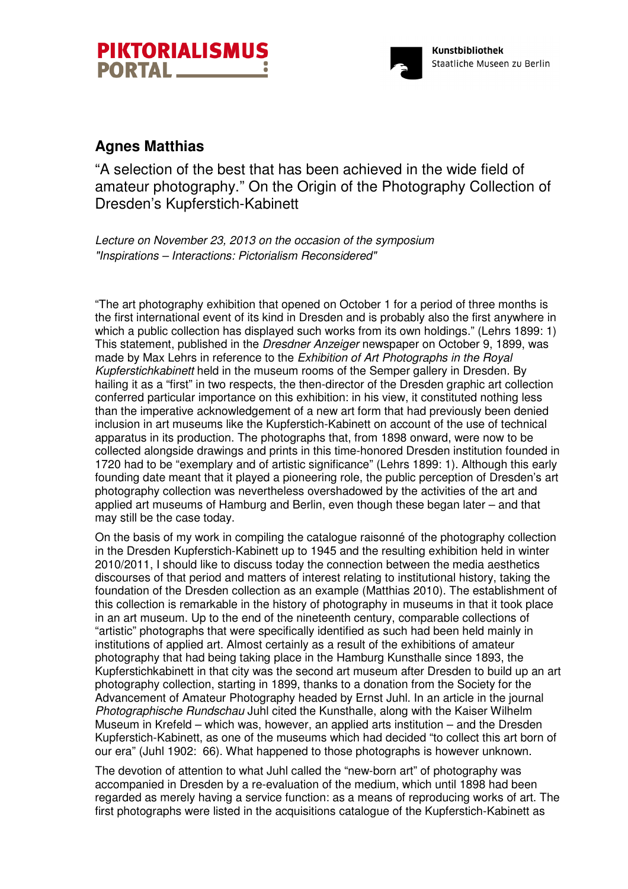



# **Agnes Matthias**

"A selection of the best that has been achieved in the wide field of amateur photography." On the Origin of the Photography Collection of Dresden's Kupferstich-Kabinett

Lecture on November 23, 2013 on the occasion of the symposium "Inspirations – Interactions: Pictorialism Reconsidered"

"The art photography exhibition that opened on October 1 for a period of three months is the first international event of its kind in Dresden and is probably also the first anywhere in which a public collection has displayed such works from its own holdings." (Lehrs 1899: 1) This statement, published in the *Dresdner Anzeiger* newspaper on October 9, 1899, was made by Max Lehrs in reference to the Exhibition of Art Photographs in the Royal Kupferstichkabinett held in the museum rooms of the Semper gallery in Dresden. By hailing it as a "first" in two respects, the then-director of the Dresden graphic art collection conferred particular importance on this exhibition: in his view, it constituted nothing less than the imperative acknowledgement of a new art form that had previously been denied inclusion in art museums like the Kupferstich-Kabinett on account of the use of technical apparatus in its production. The photographs that, from 1898 onward, were now to be collected alongside drawings and prints in this time-honored Dresden institution founded in 1720 had to be "exemplary and of artistic significance" (Lehrs 1899: 1). Although this early founding date meant that it played a pioneering role, the public perception of Dresden's art photography collection was nevertheless overshadowed by the activities of the art and applied art museums of Hamburg and Berlin, even though these began later – and that may still be the case today.

On the basis of my work in compiling the catalogue raisonné of the photography collection in the Dresden Kupferstich-Kabinett up to 1945 and the resulting exhibition held in winter 2010/2011, I should like to discuss today the connection between the media aesthetics discourses of that period and matters of interest relating to institutional history, taking the foundation of the Dresden collection as an example (Matthias 2010). The establishment of this collection is remarkable in the history of photography in museums in that it took place in an art museum. Up to the end of the nineteenth century, comparable collections of "artistic" photographs that were specifically identified as such had been held mainly in institutions of applied art. Almost certainly as a result of the exhibitions of amateur photography that had being taking place in the Hamburg Kunsthalle since 1893, the Kupferstichkabinett in that city was the second art museum after Dresden to build up an art photography collection, starting in 1899, thanks to a donation from the Society for the Advancement of Amateur Photography headed by Ernst Juhl. In an article in the journal Photographische Rundschau Juhl cited the Kunsthalle, along with the Kaiser Wilhelm Museum in Krefeld – which was, however, an applied arts institution – and the Dresden Kupferstich-Kabinett, as one of the museums which had decided "to collect this art born of our era" (Juhl 1902: 66). What happened to those photographs is however unknown.

The devotion of attention to what Juhl called the "new-born art" of photography was accompanied in Dresden by a re-evaluation of the medium, which until 1898 had been regarded as merely having a service function: as a means of reproducing works of art. The first photographs were listed in the acquisitions catalogue of the Kupferstich-Kabinett as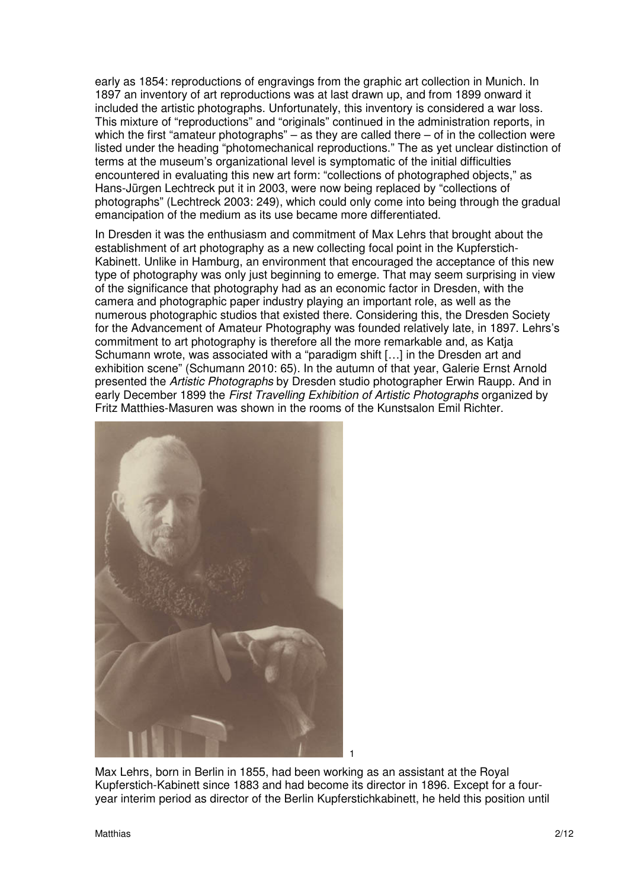early as 1854: reproductions of engravings from the graphic art collection in Munich. In 1897 an inventory of art reproductions was at last drawn up, and from 1899 onward it included the artistic photographs. Unfortunately, this inventory is considered a war loss. This mixture of "reproductions" and "originals" continued in the administration reports, in which the first "amateur photographs" – as they are called there – of in the collection were listed under the heading "photomechanical reproductions." The as yet unclear distinction of terms at the museum's organizational level is symptomatic of the initial difficulties encountered in evaluating this new art form: "collections of photographed objects," as Hans-Jürgen Lechtreck put it in 2003, were now being replaced by "collections of photographs" (Lechtreck 2003: 249), which could only come into being through the gradual emancipation of the medium as its use became more differentiated.

In Dresden it was the enthusiasm and commitment of Max Lehrs that brought about the establishment of art photography as a new collecting focal point in the Kupferstich-Kabinett. Unlike in Hamburg, an environment that encouraged the acceptance of this new type of photography was only just beginning to emerge. That may seem surprising in view of the significance that photography had as an economic factor in Dresden, with the camera and photographic paper industry playing an important role, as well as the numerous photographic studios that existed there. Considering this, the Dresden Society for the Advancement of Amateur Photography was founded relatively late, in 1897. Lehrs's commitment to art photography is therefore all the more remarkable and, as Katja Schumann wrote, was associated with a "paradigm shift […] in the Dresden art and exhibition scene" (Schumann 2010: 65). In the autumn of that year, Galerie Ernst Arnold presented the Artistic Photographs by Dresden studio photographer Erwin Raupp. And in early December 1899 the First Travelling Exhibition of Artistic Photographs organized by Fritz Matthies-Masuren was shown in the rooms of the Kunstsalon Emil Richter.



Max Lehrs, born in Berlin in 1855, had been working as an assistant at the Royal Kupferstich-Kabinett since 1883 and had become its director in 1896. Except for a fouryear interim period as director of the Berlin Kupferstichkabinett, he held this position until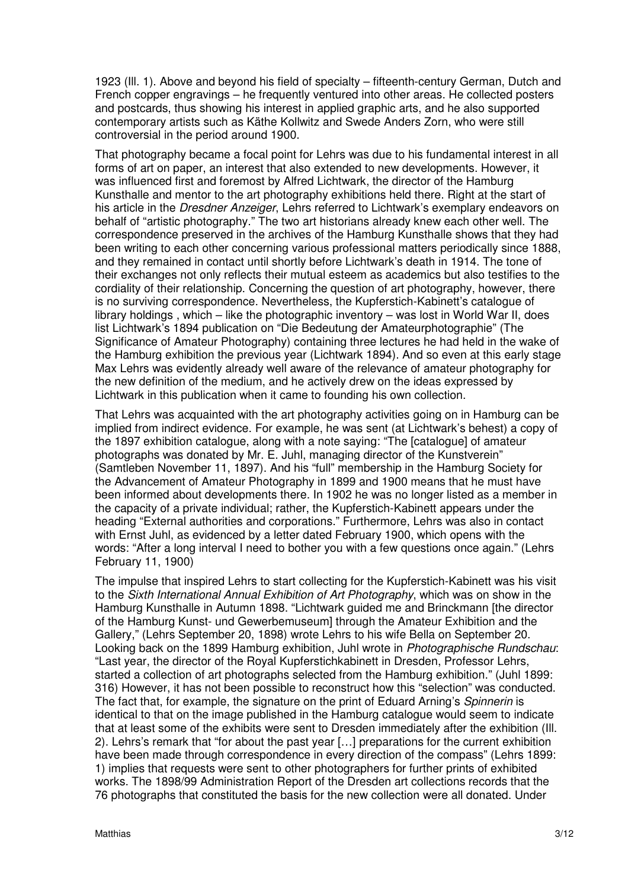1923 (Ill. 1). Above and beyond his field of specialty – fifteenth-century German, Dutch and French copper engravings – he frequently ventured into other areas. He collected posters and postcards, thus showing his interest in applied graphic arts, and he also supported contemporary artists such as Käthe Kollwitz and Swede Anders Zorn, who were still controversial in the period around 1900.

That photography became a focal point for Lehrs was due to his fundamental interest in all forms of art on paper, an interest that also extended to new developments. However, it was influenced first and foremost by Alfred Lichtwark, the director of the Hamburg Kunsthalle and mentor to the art photography exhibitions held there. Right at the start of his article in the *Dresdner Anzeiger*, Lehrs referred to Lichtwark's exemplary endeavors on behalf of "artistic photography." The two art historians already knew each other well. The correspondence preserved in the archives of the Hamburg Kunsthalle shows that they had been writing to each other concerning various professional matters periodically since 1888, and they remained in contact until shortly before Lichtwark's death in 1914. The tone of their exchanges not only reflects their mutual esteem as academics but also testifies to the cordiality of their relationship. Concerning the question of art photography, however, there is no surviving correspondence. Nevertheless, the Kupferstich-Kabinett's catalogue of library holdings , which – like the photographic inventory – was lost in World War II, does list Lichtwark's 1894 publication on "Die Bedeutung der Amateurphotographie" (The Significance of Amateur Photography) containing three lectures he had held in the wake of the Hamburg exhibition the previous year (Lichtwark 1894). And so even at this early stage Max Lehrs was evidently already well aware of the relevance of amateur photography for the new definition of the medium, and he actively drew on the ideas expressed by Lichtwark in this publication when it came to founding his own collection.

That Lehrs was acquainted with the art photography activities going on in Hamburg can be implied from indirect evidence. For example, he was sent (at Lichtwark's behest) a copy of the 1897 exhibition catalogue, along with a note saying: "The [catalogue] of amateur photographs was donated by Mr. E. Juhl, managing director of the Kunstverein" (Samtleben November 11, 1897). And his "full" membership in the Hamburg Society for the Advancement of Amateur Photography in 1899 and 1900 means that he must have been informed about developments there. In 1902 he was no longer listed as a member in the capacity of a private individual; rather, the Kupferstich-Kabinett appears under the heading "External authorities and corporations." Furthermore, Lehrs was also in contact with Ernst Juhl, as evidenced by a letter dated February 1900, which opens with the words: "After a long interval I need to bother you with a few questions once again." (Lehrs February 11, 1900)

The impulse that inspired Lehrs to start collecting for the Kupferstich-Kabinett was his visit to the Sixth International Annual Exhibition of Art Photography, which was on show in the Hamburg Kunsthalle in Autumn 1898. "Lichtwark guided me and Brinckmann [the director of the Hamburg Kunst- und Gewerbemuseum] through the Amateur Exhibition and the Gallery," (Lehrs September 20, 1898) wrote Lehrs to his wife Bella on September 20. Looking back on the 1899 Hamburg exhibition, Juhl wrote in Photographische Rundschau: "Last year, the director of the Royal Kupferstichkabinett in Dresden, Professor Lehrs, started a collection of art photographs selected from the Hamburg exhibition." (Juhl 1899: 316) However, it has not been possible to reconstruct how this "selection" was conducted. The fact that, for example, the signature on the print of Eduard Arning's Spinnerin is identical to that on the image published in the Hamburg catalogue would seem to indicate that at least some of the exhibits were sent to Dresden immediately after the exhibition (Ill. 2). Lehrs's remark that "for about the past year […] preparations for the current exhibition have been made through correspondence in every direction of the compass" (Lehrs 1899: 1) implies that requests were sent to other photographers for further prints of exhibited works. The 1898/99 Administration Report of the Dresden art collections records that the 76 photographs that constituted the basis for the new collection were all donated. Under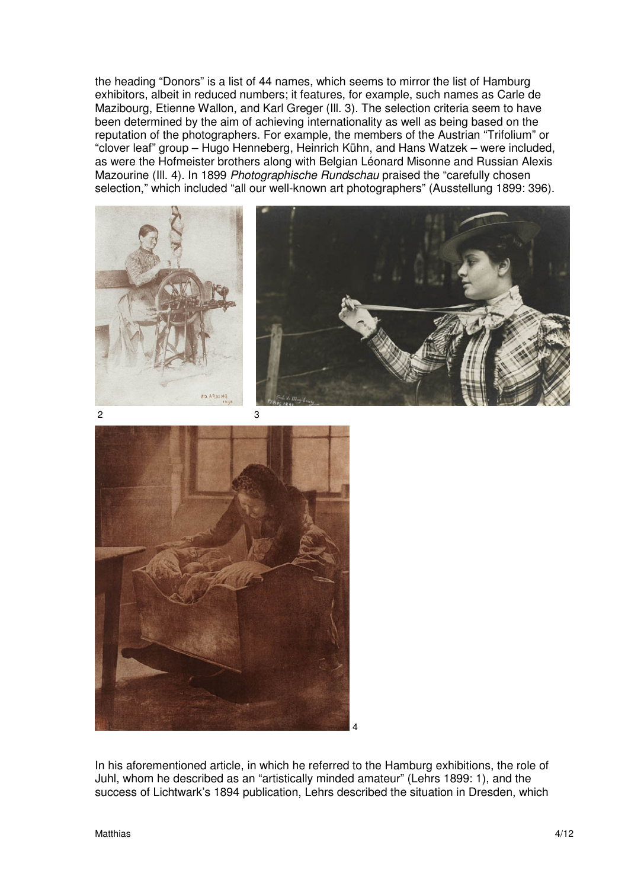the heading "Donors" is a list of 44 names, which seems to mirror the list of Hamburg exhibitors, albeit in reduced numbers; it features, for example, such names as Carle de Mazibourg, Etienne Wallon, and Karl Greger (Ill. 3). The selection criteria seem to have been determined by the aim of achieving internationality as well as being based on the reputation of the photographers. For example, the members of the Austrian "Trifolium" or "clover leaf" group – Hugo Henneberg, Heinrich Kühn, and Hans Watzek – were included, as were the Hofmeister brothers along with Belgian Léonard Misonne and Russian Alexis Mazourine (Ill. 4). In 1899 Photographische Rundschau praised the "carefully chosen selection," which included "all our well-known art photographers" (Ausstellung 1899: 396).







In his aforementioned article, in which he referred to the Hamburg exhibitions, the role of Juhl, whom he described as an "artistically minded amateur" (Lehrs 1899: 1), and the success of Lichtwark's 1894 publication, Lehrs described the situation in Dresden, which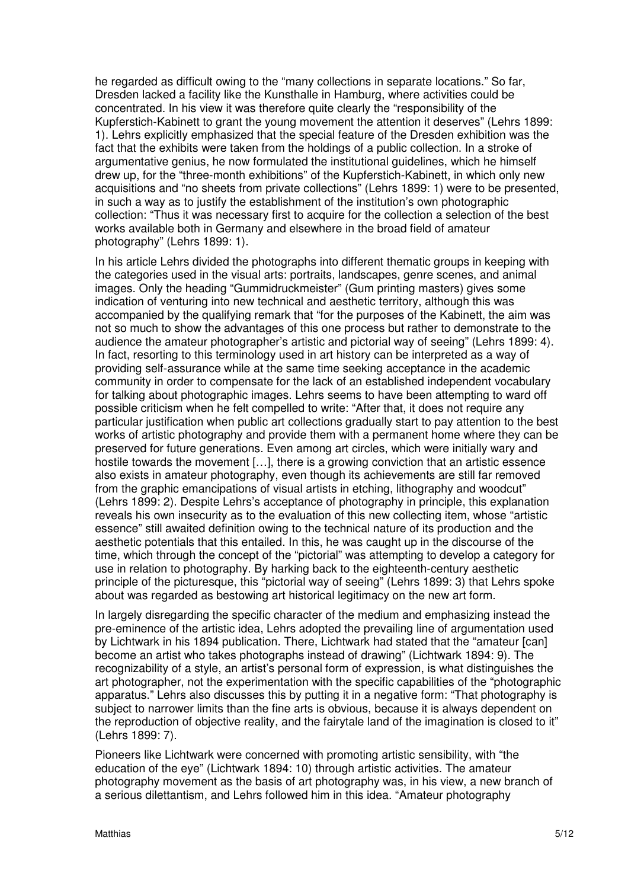he regarded as difficult owing to the "many collections in separate locations." So far, Dresden lacked a facility like the Kunsthalle in Hamburg, where activities could be concentrated. In his view it was therefore quite clearly the "responsibility of the Kupferstich-Kabinett to grant the young movement the attention it deserves" (Lehrs 1899: 1). Lehrs explicitly emphasized that the special feature of the Dresden exhibition was the fact that the exhibits were taken from the holdings of a public collection. In a stroke of argumentative genius, he now formulated the institutional guidelines, which he himself drew up, for the "three-month exhibitions" of the Kupferstich-Kabinett, in which only new acquisitions and "no sheets from private collections" (Lehrs 1899: 1) were to be presented, in such a way as to justify the establishment of the institution's own photographic collection: "Thus it was necessary first to acquire for the collection a selection of the best works available both in Germany and elsewhere in the broad field of amateur photography" (Lehrs 1899: 1).

In his article Lehrs divided the photographs into different thematic groups in keeping with the categories used in the visual arts: portraits, landscapes, genre scenes, and animal images. Only the heading "Gummidruckmeister" (Gum printing masters) gives some indication of venturing into new technical and aesthetic territory, although this was accompanied by the qualifying remark that "for the purposes of the Kabinett, the aim was not so much to show the advantages of this one process but rather to demonstrate to the audience the amateur photographer's artistic and pictorial way of seeing" (Lehrs 1899: 4). In fact, resorting to this terminology used in art history can be interpreted as a way of providing self-assurance while at the same time seeking acceptance in the academic community in order to compensate for the lack of an established independent vocabulary for talking about photographic images. Lehrs seems to have been attempting to ward off possible criticism when he felt compelled to write: "After that, it does not require any particular justification when public art collections gradually start to pay attention to the best works of artistic photography and provide them with a permanent home where they can be preserved for future generations. Even among art circles, which were initially wary and hostile towards the movement […], there is a growing conviction that an artistic essence also exists in amateur photography, even though its achievements are still far removed from the graphic emancipations of visual artists in etching, lithography and woodcut" (Lehrs 1899: 2). Despite Lehrs's acceptance of photography in principle, this explanation reveals his own insecurity as to the evaluation of this new collecting item, whose "artistic essence" still awaited definition owing to the technical nature of its production and the aesthetic potentials that this entailed. In this, he was caught up in the discourse of the time, which through the concept of the "pictorial" was attempting to develop a category for use in relation to photography. By harking back to the eighteenth-century aesthetic principle of the picturesque, this "pictorial way of seeing" (Lehrs 1899: 3) that Lehrs spoke about was regarded as bestowing art historical legitimacy on the new art form.

In largely disregarding the specific character of the medium and emphasizing instead the pre-eminence of the artistic idea, Lehrs adopted the prevailing line of argumentation used by Lichtwark in his 1894 publication. There, Lichtwark had stated that the "amateur [can] become an artist who takes photographs instead of drawing" (Lichtwark 1894: 9). The recognizability of a style, an artist's personal form of expression, is what distinguishes the art photographer, not the experimentation with the specific capabilities of the "photographic apparatus." Lehrs also discusses this by putting it in a negative form: "That photography is subject to narrower limits than the fine arts is obvious, because it is always dependent on the reproduction of objective reality, and the fairytale land of the imagination is closed to it" (Lehrs 1899: 7).

Pioneers like Lichtwark were concerned with promoting artistic sensibility, with "the education of the eye" (Lichtwark 1894: 10) through artistic activities. The amateur photography movement as the basis of art photography was, in his view, a new branch of a serious dilettantism, and Lehrs followed him in this idea. "Amateur photography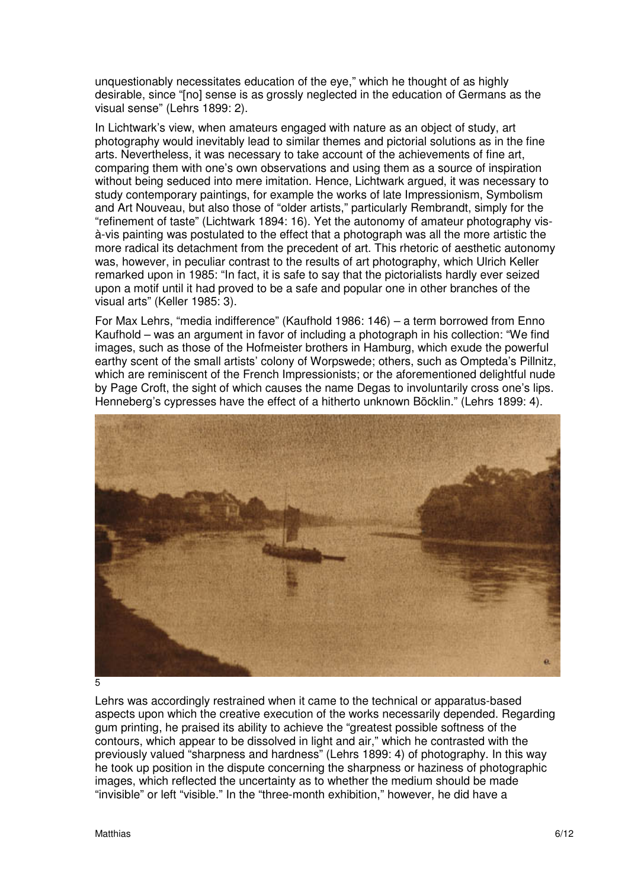unquestionably necessitates education of the eye," which he thought of as highly desirable, since "[no] sense is as grossly neglected in the education of Germans as the visual sense" (Lehrs 1899: 2).

In Lichtwark's view, when amateurs engaged with nature as an object of study, art photography would inevitably lead to similar themes and pictorial solutions as in the fine arts. Nevertheless, it was necessary to take account of the achievements of fine art, comparing them with one's own observations and using them as a source of inspiration without being seduced into mere imitation. Hence, Lichtwark argued, it was necessary to study contemporary paintings, for example the works of late Impressionism, Symbolism and Art Nouveau, but also those of "older artists," particularly Rembrandt, simply for the "refinement of taste" (Lichtwark 1894: 16). Yet the autonomy of amateur photography visà-vis painting was postulated to the effect that a photograph was all the more artistic the more radical its detachment from the precedent of art. This rhetoric of aesthetic autonomy was, however, in peculiar contrast to the results of art photography, which Ulrich Keller remarked upon in 1985: "In fact, it is safe to say that the pictorialists hardly ever seized upon a motif until it had proved to be a safe and popular one in other branches of the visual arts" (Keller 1985: 3).

For Max Lehrs, "media indifference" (Kaufhold 1986: 146) – a term borrowed from Enno Kaufhold – was an argument in favor of including a photograph in his collection: "We find images, such as those of the Hofmeister brothers in Hamburg, which exude the powerful earthy scent of the small artists' colony of Worpswede; others, such as Ompteda's Pillnitz, which are reminiscent of the French Impressionists; or the aforementioned delightful nude by Page Croft, the sight of which causes the name Degas to involuntarily cross one's lips. Henneberg's cypresses have the effect of a hitherto unknown Böcklin." (Lehrs 1899: 4).



5

Lehrs was accordingly restrained when it came to the technical or apparatus-based aspects upon which the creative execution of the works necessarily depended. Regarding gum printing, he praised its ability to achieve the "greatest possible softness of the contours, which appear to be dissolved in light and air," which he contrasted with the previously valued "sharpness and hardness" (Lehrs 1899: 4) of photography. In this way he took up position in the dispute concerning the sharpness or haziness of photographic images, which reflected the uncertainty as to whether the medium should be made "invisible" or left "visible." In the "three-month exhibition," however, he did have a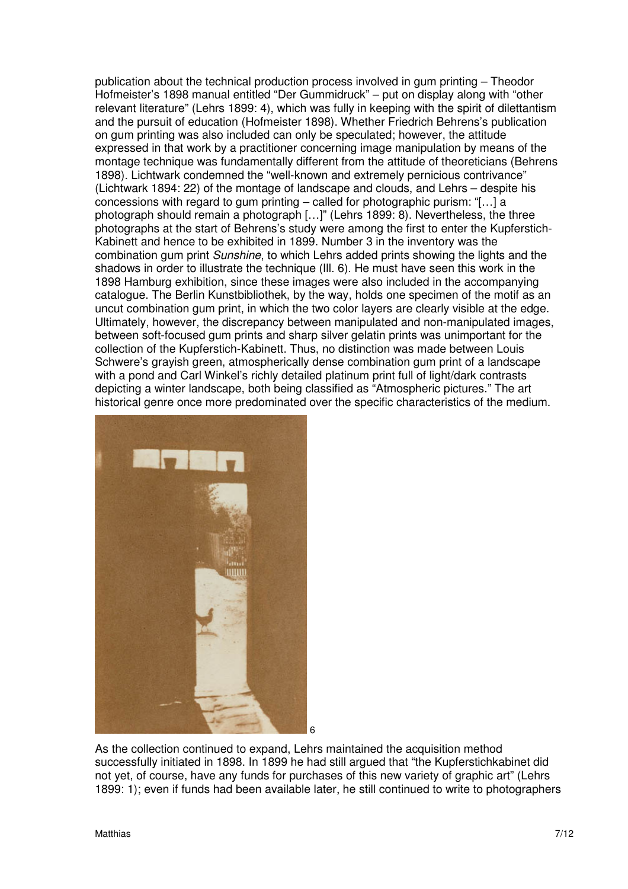publication about the technical production process involved in gum printing – Theodor Hofmeister's 1898 manual entitled "Der Gummidruck" – put on display along with "other relevant literature" (Lehrs 1899: 4), which was fully in keeping with the spirit of dilettantism and the pursuit of education (Hofmeister 1898). Whether Friedrich Behrens's publication on gum printing was also included can only be speculated; however, the attitude expressed in that work by a practitioner concerning image manipulation by means of the montage technique was fundamentally different from the attitude of theoreticians (Behrens 1898). Lichtwark condemned the "well-known and extremely pernicious contrivance" (Lichtwark 1894: 22) of the montage of landscape and clouds, and Lehrs – despite his concessions with regard to gum printing – called for photographic purism: "[…] a photograph should remain a photograph […]" (Lehrs 1899: 8). Nevertheless, the three photographs at the start of Behrens's study were among the first to enter the Kupferstich-Kabinett and hence to be exhibited in 1899. Number 3 in the inventory was the combination gum print *Sunshine*, to which Lehrs added prints showing the lights and the shadows in order to illustrate the technique (Ill. 6). He must have seen this work in the 1898 Hamburg exhibition, since these images were also included in the accompanying catalogue. The Berlin Kunstbibliothek, by the way, holds one specimen of the motif as an uncut combination gum print, in which the two color layers are clearly visible at the edge. Ultimately, however, the discrepancy between manipulated and non-manipulated images, between soft-focused gum prints and sharp silver gelatin prints was unimportant for the collection of the Kupferstich-Kabinett. Thus, no distinction was made between Louis Schwere's grayish green, atmospherically dense combination gum print of a landscape with a pond and Carl Winkel's richly detailed platinum print full of light/dark contrasts depicting a winter landscape, both being classified as "Atmospheric pictures." The art historical genre once more predominated over the specific characteristics of the medium.



As the collection continued to expand, Lehrs maintained the acquisition method successfully initiated in 1898. In 1899 he had still argued that "the Kupferstichkabinet did not yet, of course, have any funds for purchases of this new variety of graphic art" (Lehrs 1899: 1); even if funds had been available later, he still continued to write to photographers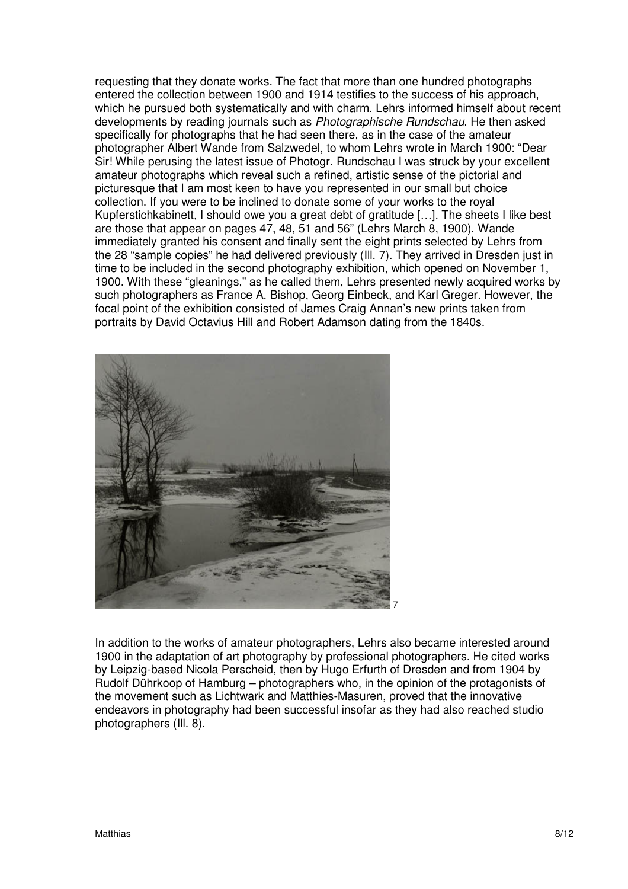requesting that they donate works. The fact that more than one hundred photographs entered the collection between 1900 and 1914 testifies to the success of his approach, which he pursued both systematically and with charm. Lehrs informed himself about recent developments by reading journals such as Photographische Rundschau. He then asked specifically for photographs that he had seen there, as in the case of the amateur photographer Albert Wande from Salzwedel, to whom Lehrs wrote in March 1900: "Dear Sir! While perusing the latest issue of Photogr. Rundschau I was struck by your excellent amateur photographs which reveal such a refined, artistic sense of the pictorial and picturesque that I am most keen to have you represented in our small but choice collection. If you were to be inclined to donate some of your works to the royal Kupferstichkabinett, I should owe you a great debt of gratitude […]. The sheets I like best are those that appear on pages 47, 48, 51 and 56" (Lehrs March 8, 1900). Wande immediately granted his consent and finally sent the eight prints selected by Lehrs from the 28 "sample copies" he had delivered previously (Ill. 7). They arrived in Dresden just in time to be included in the second photography exhibition, which opened on November 1, 1900. With these "gleanings," as he called them, Lehrs presented newly acquired works by such photographers as France A. Bishop, Georg Einbeck, and Karl Greger. However, the focal point of the exhibition consisted of James Craig Annan's new prints taken from portraits by David Octavius Hill and Robert Adamson dating from the 1840s.



In addition to the works of amateur photographers, Lehrs also became interested around 1900 in the adaptation of art photography by professional photographers. He cited works by Leipzig-based Nicola Perscheid, then by Hugo Erfurth of Dresden and from 1904 by Rudolf Dührkoop of Hamburg – photographers who, in the opinion of the protagonists of the movement such as Lichtwark and Matthies-Masuren, proved that the innovative endeavors in photography had been successful insofar as they had also reached studio photographers (Ill. 8).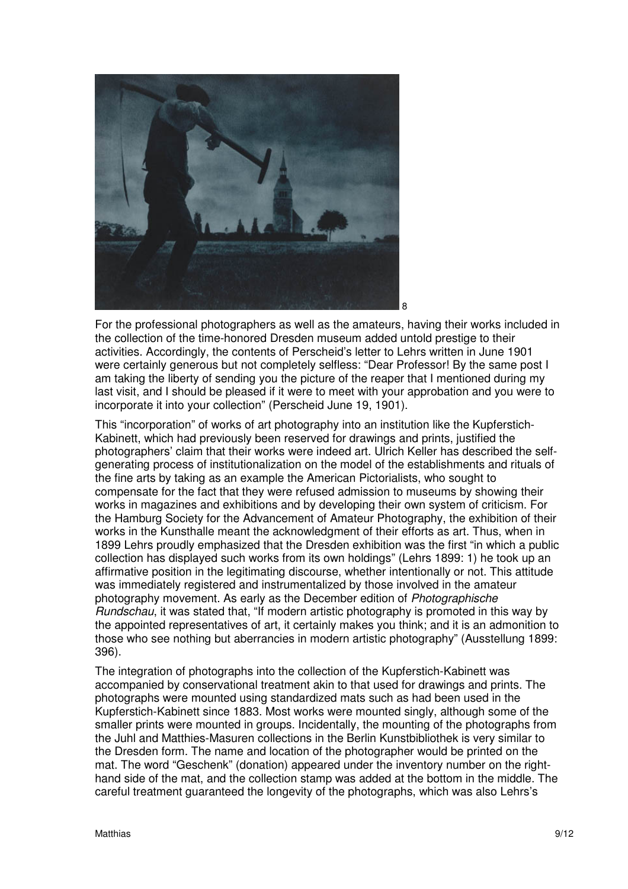

For the professional photographers as well as the amateurs, having their works included in the collection of the time-honored Dresden museum added untold prestige to their activities. Accordingly, the contents of Perscheid's letter to Lehrs written in June 1901 were certainly generous but not completely selfless: "Dear Professor! By the same post I am taking the liberty of sending you the picture of the reaper that I mentioned during my last visit, and I should be pleased if it were to meet with your approbation and you were to incorporate it into your collection" (Perscheid June 19, 1901).

This "incorporation" of works of art photography into an institution like the Kupferstich-Kabinett, which had previously been reserved for drawings and prints, justified the photographers' claim that their works were indeed art. Ulrich Keller has described the selfgenerating process of institutionalization on the model of the establishments and rituals of the fine arts by taking as an example the American Pictorialists, who sought to compensate for the fact that they were refused admission to museums by showing their works in magazines and exhibitions and by developing their own system of criticism. For the Hamburg Society for the Advancement of Amateur Photography, the exhibition of their works in the Kunsthalle meant the acknowledgment of their efforts as art. Thus, when in 1899 Lehrs proudly emphasized that the Dresden exhibition was the first "in which a public collection has displayed such works from its own holdings" (Lehrs 1899: 1) he took up an affirmative position in the legitimating discourse, whether intentionally or not. This attitude was immediately registered and instrumentalized by those involved in the amateur photography movement. As early as the December edition of Photographische Rundschau, it was stated that, "If modern artistic photography is promoted in this way by the appointed representatives of art, it certainly makes you think; and it is an admonition to those who see nothing but aberrancies in modern artistic photography" (Ausstellung 1899: 396).

The integration of photographs into the collection of the Kupferstich-Kabinett was accompanied by conservational treatment akin to that used for drawings and prints. The photographs were mounted using standardized mats such as had been used in the Kupferstich-Kabinett since 1883. Most works were mounted singly, although some of the smaller prints were mounted in groups. Incidentally, the mounting of the photographs from the Juhl and Matthies-Masuren collections in the Berlin Kunstbibliothek is very similar to the Dresden form. The name and location of the photographer would be printed on the mat. The word "Geschenk" (donation) appeared under the inventory number on the righthand side of the mat, and the collection stamp was added at the bottom in the middle. The careful treatment guaranteed the longevity of the photographs, which was also Lehrs's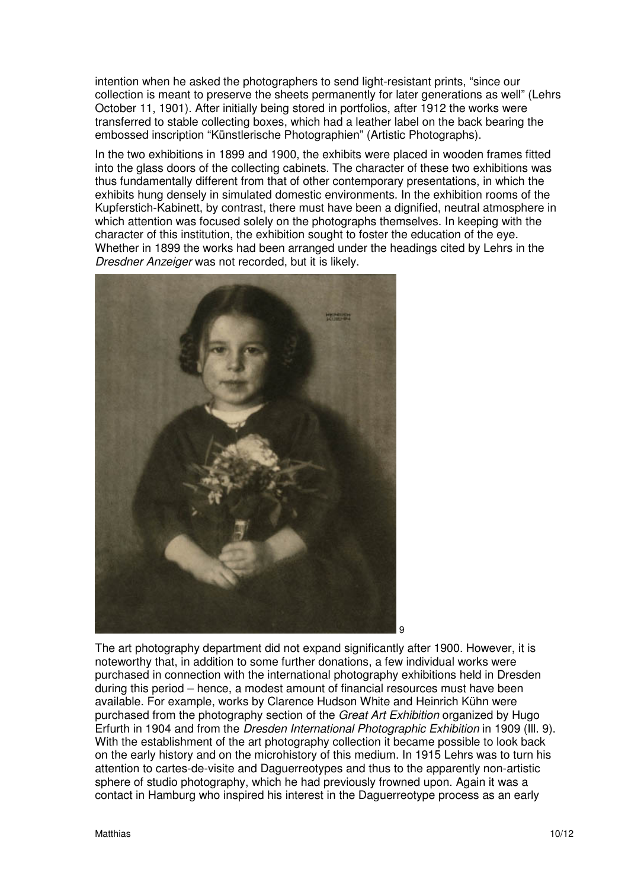intention when he asked the photographers to send light-resistant prints, "since our collection is meant to preserve the sheets permanently for later generations as well" (Lehrs October 11, 1901). After initially being stored in portfolios, after 1912 the works were transferred to stable collecting boxes, which had a leather label on the back bearing the embossed inscription "Künstlerische Photographien" (Artistic Photographs).

In the two exhibitions in 1899 and 1900, the exhibits were placed in wooden frames fitted into the glass doors of the collecting cabinets. The character of these two exhibitions was thus fundamentally different from that of other contemporary presentations, in which the exhibits hung densely in simulated domestic environments. In the exhibition rooms of the Kupferstich-Kabinett, by contrast, there must have been a dignified, neutral atmosphere in which attention was focused solely on the photographs themselves. In keeping with the character of this institution, the exhibition sought to foster the education of the eye. Whether in 1899 the works had been arranged under the headings cited by Lehrs in the Dresdner Anzeiger was not recorded, but it is likely.



The art photography department did not expand significantly after 1900. However, it is noteworthy that, in addition to some further donations, a few individual works were purchased in connection with the international photography exhibitions held in Dresden during this period – hence, a modest amount of financial resources must have been available. For example, works by Clarence Hudson White and Heinrich Kühn were purchased from the photography section of the Great Art Exhibition organized by Hugo Erfurth in 1904 and from the Dresden International Photographic Exhibition in 1909 (Ill. 9). With the establishment of the art photography collection it became possible to look back on the early history and on the microhistory of this medium. In 1915 Lehrs was to turn his attention to cartes-de-visite and Daguerreotypes and thus to the apparently non-artistic sphere of studio photography, which he had previously frowned upon. Again it was a contact in Hamburg who inspired his interest in the Daguerreotype process as an early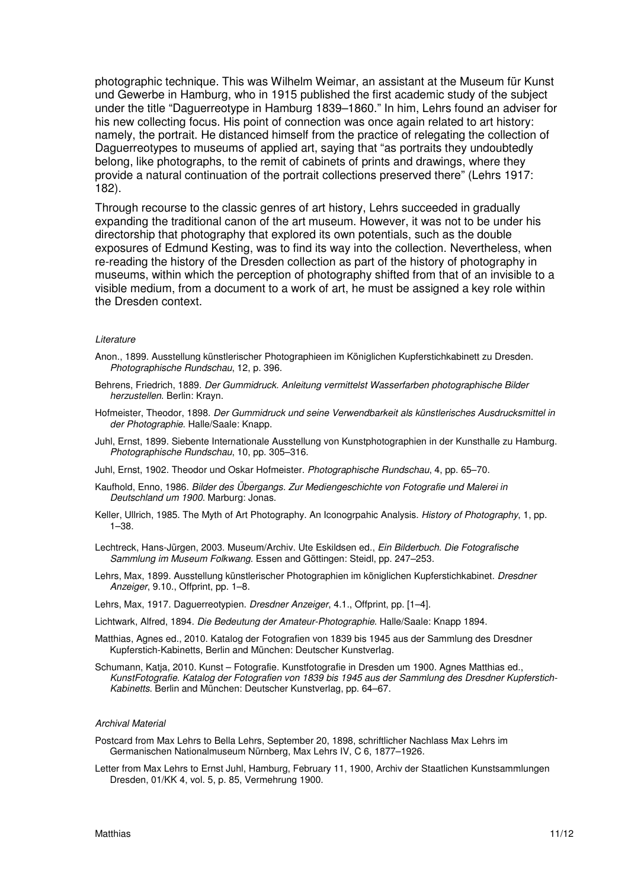photographic technique. This was Wilhelm Weimar, an assistant at the Museum für Kunst und Gewerbe in Hamburg, who in 1915 published the first academic study of the subject under the title "Daguerreotype in Hamburg 1839–1860." In him, Lehrs found an adviser for his new collecting focus. His point of connection was once again related to art history: namely, the portrait. He distanced himself from the practice of relegating the collection of Daguerreotypes to museums of applied art, saying that "as portraits they undoubtedly belong, like photographs, to the remit of cabinets of prints and drawings, where they provide a natural continuation of the portrait collections preserved there" (Lehrs 1917: 182).

Through recourse to the classic genres of art history, Lehrs succeeded in gradually expanding the traditional canon of the art museum. However, it was not to be under his directorship that photography that explored its own potentials, such as the double exposures of Edmund Kesting, was to find its way into the collection. Nevertheless, when re-reading the history of the Dresden collection as part of the history of photography in museums, within which the perception of photography shifted from that of an invisible to a visible medium, from a document to a work of art, he must be assigned a key role within the Dresden context.

## Literature

- Anon., 1899. Ausstellung künstlerischer Photographieen im Königlichen Kupferstichkabinett zu Dresden. Photographische Rundschau, 12, p. 396.
- Behrens, Friedrich, 1889. Der Gummidruck. Anleitung vermittelst Wasserfarben photographische Bilder herzustellen. Berlin: Krayn.
- Hofmeister, Theodor, 1898. Der Gummidruck und seine Verwendbarkeit als künstlerisches Ausdrucksmittel in der Photographie. Halle/Saale: Knapp.
- Juhl, Ernst, 1899. Siebente Internationale Ausstellung von Kunstphotographien in der Kunsthalle zu Hamburg. Photographische Rundschau, 10, pp. 305–316.

Juhl, Ernst, 1902. Theodor und Oskar Hofmeister. Photographische Rundschau, 4, pp. 65–70.

- Kaufhold, Enno, 1986. Bilder des Übergangs. Zur Mediengeschichte von Fotografie und Malerei in Deutschland um 1900. Marburg: Jonas.
- Keller, Ullrich, 1985. The Myth of Art Photography. An Iconogrpahic Analysis. History of Photography, 1, pp. 1–38.
- Lechtreck, Hans-Jürgen, 2003. Museum/Archiv. Ute Eskildsen ed., Ein Bilderbuch. Die Fotografische Sammlung im Museum Folkwang. Essen and Göttingen: Steidl, pp. 247–253.
- Lehrs, Max, 1899. Ausstellung künstlerischer Photographien im königlichen Kupferstichkabinet. Dresdner Anzeiger, 9.10., Offprint, pp. 1–8.
- Lehrs, Max, 1917. Daguerreotypien. Dresdner Anzeiger, 4.1., Offprint, pp. [1–4].
- Lichtwark, Alfred, 1894. Die Bedeutung der Amateur-Photographie. Halle/Saale: Knapp 1894.
- Matthias, Agnes ed., 2010. Katalog der Fotografien von 1839 bis 1945 aus der Sammlung des Dresdner Kupferstich-Kabinetts, Berlin and München: Deutscher Kunstverlag.
- Schumann, Katia, 2010. Kunst Fotografie. Kunstfotografie in Dresden um 1900. Agnes Matthias ed., KunstFotografie. Katalog der Fotografien von 1839 bis 1945 aus der Sammlung des Dresdner Kupferstich-Kabinetts. Berlin and München: Deutscher Kunstverlag, pp. 64–67.

#### Archival Material

- Postcard from Max Lehrs to Bella Lehrs, September 20, 1898, schriftlicher Nachlass Max Lehrs im Germanischen Nationalmuseum Nürnberg, Max Lehrs IV, C 6, 1877–1926.
- Letter from Max Lehrs to Ernst Juhl, Hamburg, February 11, 1900, Archiv der Staatlichen Kunstsammlungen Dresden, 01/KK 4, vol. 5, p. 85, Vermehrung 1900.